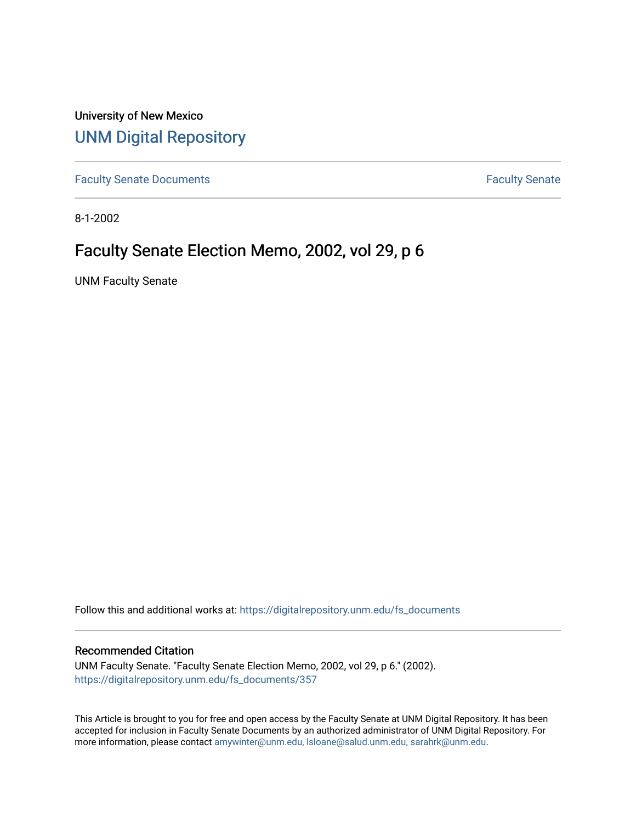University of New Mexico [UNM Digital Repository](https://digitalrepository.unm.edu/) 

[Faculty Senate Documents](https://digitalrepository.unm.edu/fs_documents) **Faculty** Senate **Faculty** Senate

8-1-2002

# Faculty Senate Election Memo, 2002, vol 29, p 6

UNM Faculty Senate

Follow this and additional works at: [https://digitalrepository.unm.edu/fs\\_documents](https://digitalrepository.unm.edu/fs_documents?utm_source=digitalrepository.unm.edu%2Ffs_documents%2F357&utm_medium=PDF&utm_campaign=PDFCoverPages)

#### Recommended Citation

UNM Faculty Senate. "Faculty Senate Election Memo, 2002, vol 29, p 6." (2002). [https://digitalrepository.unm.edu/fs\\_documents/357](https://digitalrepository.unm.edu/fs_documents/357?utm_source=digitalrepository.unm.edu%2Ffs_documents%2F357&utm_medium=PDF&utm_campaign=PDFCoverPages)

This Article is brought to you for free and open access by the Faculty Senate at UNM Digital Repository. It has been accepted for inclusion in Faculty Senate Documents by an authorized administrator of UNM Digital Repository. For more information, please contact [amywinter@unm.edu, lsloane@salud.unm.edu, sarahrk@unm.edu](mailto:amywinter@unm.edu,%20lsloane@salud.unm.edu,%20sarahrk@unm.edu).